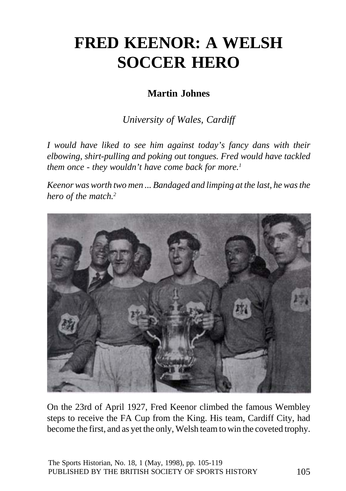# **FRED KEENOR: A WELSH SOCCER HERO**

# **Martin Johnes**

*University of Wales, Cardiff*

*I would have liked to see him against today's fancy dans with their elbowing, shirt-pulling and poking out tongues. Fred would have tackled them once - they wouldn't have come back for more.1*

*Keenor was worth two men ... Bandaged and limping at the last, he was the hero of the match.2*



On the 23rd of April 1927, Fred Keenor climbed the famous Wembley steps to receive the FA Cup from the King. His team, Cardiff City, had become the first, and as yet the only, Welsh team to win the coveted trophy.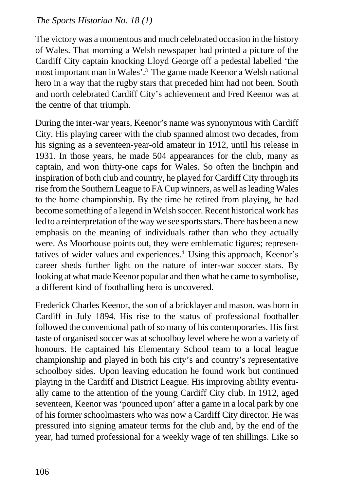The victory was a momentous and much celebrated occasion in the history of Wales. That morning a Welsh newspaper had printed a picture of the Cardiff City captain knocking Lloyd George off a pedestal labelled 'the most important man in Wales'.3 The game made Keenor a Welsh national hero in a way that the rugby stars that preceded him had not been. South and north celebrated Cardiff City's achievement and Fred Keenor was at the centre of that triumph.

During the inter-war years, Keenor's name was synonymous with Cardiff City. His playing career with the club spanned almost two decades, from his signing as a seventeen-year-old amateur in 1912, until his release in 1931. In those years, he made 504 appearances for the club, many as captain, and won thirty-one caps for Wales. So often the linchpin and inspiration of both club and country, he played for Cardiff City through its rise from the Southern League to FA Cup winners, as well as leading Wales to the home championship. By the time he retired from playing, he had become something of a legend in Welsh soccer. Recent historical work has led to a reinterpretation of the way we see sports stars. There has been a new emphasis on the meaning of individuals rather than who they actually were. As Moorhouse points out, they were emblematic figures; representatives of wider values and experiences.<sup>4</sup> Using this approach, Keenor's career sheds further light on the nature of inter-war soccer stars. By looking at what made Keenor popular and then what he came to symbolise, a different kind of footballing hero is uncovered.

Frederick Charles Keenor, the son of a bricklayer and mason, was born in Cardiff in July 1894. His rise to the status of professional footballer followed the conventional path of so many of his contemporaries. His first taste of organised soccer was at schoolboy level where he won a variety of honours. He captained his Elementary School team to a local league championship and played in both his city's and country's representative schoolboy sides. Upon leaving education he found work but continued playing in the Cardiff and District League. His improving ability eventually came to the attention of the young Cardiff City club. In 1912, aged seventeen, Keenor was 'pounced upon' after a game in a local park by one of his former schoolmasters who was now a Cardiff City director. He was pressured into signing amateur terms for the club and, by the end of the year, had turned professional for a weekly wage of ten shillings. Like so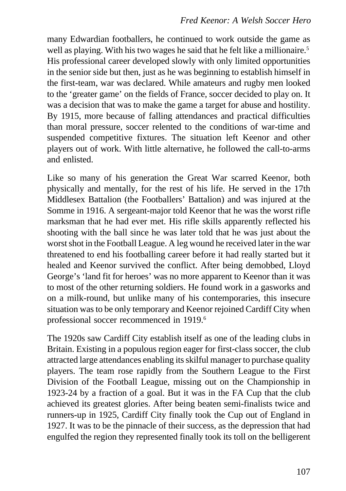many Edwardian footballers, he continued to work outside the game as well as playing. With his two wages he said that he felt like a millionaire.<sup>5</sup> His professional career developed slowly with only limited opportunities in the senior side but then, just as he was beginning to establish himself in the first-team, war was declared. While amateurs and rugby men looked to the 'greater game' on the fields of France, soccer decided to play on. It was a decision that was to make the game a target for abuse and hostility. By 1915, more because of falling attendances and practical difficulties than moral pressure, soccer relented to the conditions of war-time and suspended competitive fixtures. The situation left Keenor and other players out of work. With little alternative, he followed the call-to-arms and enlisted.

Like so many of his generation the Great War scarred Keenor, both physically and mentally, for the rest of his life. He served in the 17th Middlesex Battalion (the Footballers' Battalion) and was injured at the Somme in 1916. A sergeant-major told Keenor that he was the worst rifle marksman that he had ever met. His rifle skills apparently reflected his shooting with the ball since he was later told that he was just about the worst shot in the Football League. A leg wound he received later in the war threatened to end his footballing career before it had really started but it healed and Keenor survived the conflict. After being demobbed, Lloyd George's 'land fit for heroes' was no more apparent to Keenor than it was to most of the other returning soldiers. He found work in a gasworks and on a milk-round, but unlike many of his contemporaries, this insecure situation was to be only temporary and Keenor rejoined Cardiff City when professional soccer recommenced in 1919.<sup>6</sup>

The 1920s saw Cardiff City establish itself as one of the leading clubs in Britain. Existing in a populous region eager for first-class soccer, the club attracted large attendances enabling its skilful manager to purchase quality players. The team rose rapidly from the Southern League to the First Division of the Football League, missing out on the Championship in 1923-24 by a fraction of a goal. But it was in the FA Cup that the club achieved its greatest glories. After being beaten semi-finalists twice and runners-up in 1925, Cardiff City finally took the Cup out of England in 1927. It was to be the pinnacle of their success, as the depression that had engulfed the region they represented finally took its toll on the belligerent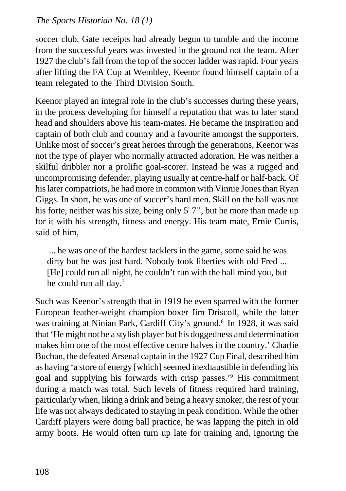soccer club. Gate receipts had already begun to tumble and the income from the successful years was invested in the ground not the team. After 1927 the club's fall from the top of the soccer ladder was rapid. Four years after lifting the FA Cup at Wembley, Keenor found himself captain of a team relegated to the Third Division South.

Keenor played an integral role in the club's successes during these years, in the process developing for himself a reputation that was to later stand head and shoulders above his team-mates. He became the inspiration and captain of both club and country and a favourite amongst the supporters. Unlike most of soccer's great heroes through the generations, Keenor was not the type of player who normally attracted adoration. He was neither a skilful dribbler nor a prolific goal-scorer. Instead he was a rugged and uncompromising defender, playing usually at centre-half or half-back. Of his later compatriots, he had more in common with Vinnie Jones than Ryan Giggs. In short, he was one of soccer's hard men. Skill on the ball was not his forte, neither was his size, being only 5'7", but he more than made up for it with his strength, fitness and energy. His team mate, Ernie Curtis, said of him,

 ... he was one of the hardest tacklers in the game, some said he was dirty but he was just hard. Nobody took liberties with old Fred ... [He] could run all night, he couldn't run with the ball mind you, but he could run all day.7

Such was Keenor's strength that in 1919 he even sparred with the former European feather-weight champion boxer Jim Driscoll, while the latter was training at Ninian Park, Cardiff City's ground.<sup>8</sup> In 1928, it was said that 'He might not be a stylish player but his doggedness and determination makes him one of the most effective centre halves in the country.' Charlie Buchan, the defeated Arsenal captain in the 1927 Cup Final, described him as having 'a store of energy [which] seemed inexhaustible in defending his goal and supplying his forwards with crisp passes.'9 His commitment during a match was total. Such levels of fitness required hard training, particularly when, liking a drink and being a heavy smoker, the rest of your life was not always dedicated to staying in peak condition. While the other Cardiff players were doing ball practice, he was lapping the pitch in old army boots. He would often turn up late for training and, ignoring the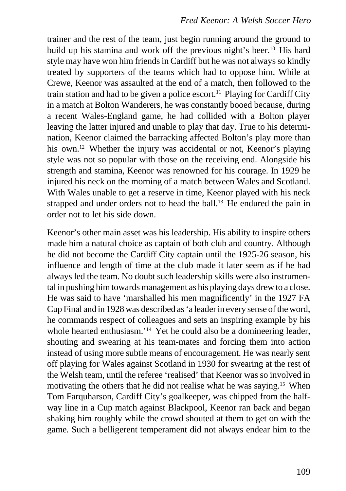trainer and the rest of the team, just begin running around the ground to build up his stamina and work off the previous night's beer.<sup>10</sup> His hard style may have won him friends in Cardiff but he was not always so kindly treated by supporters of the teams which had to oppose him. While at Crewe, Keenor was assaulted at the end of a match, then followed to the train station and had to be given a police escort.<sup>11</sup> Playing for Cardiff City in a match at Bolton Wanderers, he was constantly booed because, during a recent Wales-England game, he had collided with a Bolton player leaving the latter injured and unable to play that day. True to his determination, Keenor claimed the barracking affected Bolton's play more than his own.<sup>12</sup> Whether the injury was accidental or not, Keenor's playing style was not so popular with those on the receiving end. Alongside his strength and stamina, Keenor was renowned for his courage. In 1929 he injured his neck on the morning of a match between Wales and Scotland. With Wales unable to get a reserve in time, Keenor played with his neck strapped and under orders not to head the ball.<sup>13</sup> He endured the pain in order not to let his side down.

Keenor's other main asset was his leadership. His ability to inspire others made him a natural choice as captain of both club and country. Although he did not become the Cardiff City captain until the 1925-26 season, his influence and length of time at the club made it later seem as if he had always led the team. No doubt such leadership skills were also instrumental in pushing him towards management as his playing days drew to a close. He was said to have 'marshalled his men magnificently' in the 1927 FA Cup Final and in 1928 was described as 'a leader in every sense of the word, he commands respect of colleagues and sets an inspiring example by his whole hearted enthusiasm.<sup>'14</sup> Yet he could also be a domineering leader, shouting and swearing at his team-mates and forcing them into action instead of using more subtle means of encouragement. He was nearly sent off playing for Wales against Scotland in 1930 for swearing at the rest of the Welsh team, until the referee 'realised' that Keenor was so involved in motivating the others that he did not realise what he was saying.15 When Tom Farquharson, Cardiff City's goalkeeper, was chipped from the halfway line in a Cup match against Blackpool, Keenor ran back and began shaking him roughly while the crowd shouted at them to get on with the game. Such a belligerent temperament did not always endear him to the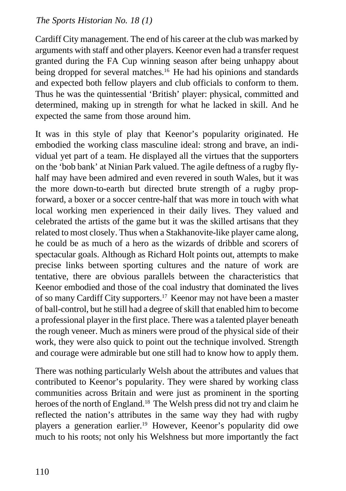Cardiff City management. The end of his career at the club was marked by arguments with staff and other players. Keenor even had a transfer request granted during the FA Cup winning season after being unhappy about being dropped for several matches.<sup>16</sup> He had his opinions and standards and expected both fellow players and club officials to conform to them. Thus he was the quintessential 'British' player: physical, committed and determined, making up in strength for what he lacked in skill. And he expected the same from those around him.

It was in this style of play that Keenor's popularity originated. He embodied the working class masculine ideal: strong and brave, an individual yet part of a team. He displayed all the virtues that the supporters on the 'bob bank' at Ninian Park valued. The agile deftness of a rugby flyhalf may have been admired and even revered in south Wales, but it was the more down-to-earth but directed brute strength of a rugby propforward, a boxer or a soccer centre-half that was more in touch with what local working men experienced in their daily lives. They valued and celebrated the artists of the game but it was the skilled artisans that they related to most closely. Thus when a Stakhanovite-like player came along, he could be as much of a hero as the wizards of dribble and scorers of spectacular goals. Although as Richard Holt points out, attempts to make precise links between sporting cultures and the nature of work are tentative, there are obvious parallels between the characteristics that Keenor embodied and those of the coal industry that dominated the lives of so many Cardiff City supporters.17 Keenor may not have been a master of ball-control, but he still had a degree of skill that enabled him to become a professional player in the first place. There was a talented player beneath the rough veneer. Much as miners were proud of the physical side of their work, they were also quick to point out the technique involved. Strength and courage were admirable but one still had to know how to apply them.

There was nothing particularly Welsh about the attributes and values that contributed to Keenor's popularity. They were shared by working class communities across Britain and were just as prominent in the sporting heroes of the north of England.<sup>18</sup> The Welsh press did not try and claim he reflected the nation's attributes in the same way they had with rugby players a generation earlier.19 However, Keenor's popularity did owe much to his roots; not only his Welshness but more importantly the fact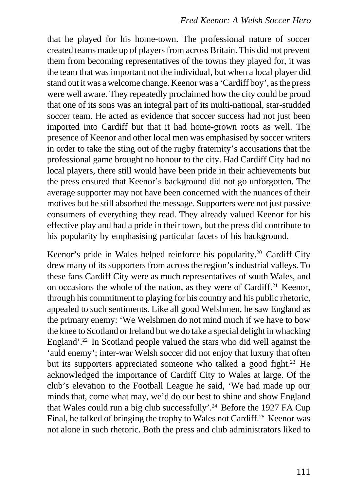that he played for his home-town. The professional nature of soccer created teams made up of players from across Britain. This did not prevent them from becoming representatives of the towns they played for, it was the team that was important not the individual, but when a local player did stand out it was a welcome change. Keenor was a 'Cardiff boy', as the press were well aware. They repeatedly proclaimed how the city could be proud that one of its sons was an integral part of its multi-national, star-studded soccer team. He acted as evidence that soccer success had not just been imported into Cardiff but that it had home-grown roots as well. The presence of Keenor and other local men was emphasised by soccer writers in order to take the sting out of the rugby fraternity's accusations that the professional game brought no honour to the city. Had Cardiff City had no local players, there still would have been pride in their achievements but the press ensured that Keenor's background did not go unforgotten. The average supporter may not have been concerned with the nuances of their motives but he still absorbed the message. Supporters were not just passive consumers of everything they read. They already valued Keenor for his effective play and had a pride in their town, but the press did contribute to his popularity by emphasising particular facets of his background.

Keenor's pride in Wales helped reinforce his popularity.20 Cardiff City drew many of its supporters from across the region's industrial valleys. To these fans Cardiff City were as much representatives of south Wales, and on occasions the whole of the nation, as they were of Cardiff.21 Keenor, through his commitment to playing for his country and his public rhetoric, appealed to such sentiments. Like all good Welshmen, he saw England as the primary enemy: 'We Welshmen do not mind much if we have to bow the knee to Scotland or Ireland but we do take a special delight in whacking England'.<sup>22</sup> In Scotland people valued the stars who did well against the 'auld enemy'; inter-war Welsh soccer did not enjoy that luxury that often but its supporters appreciated someone who talked a good fight.<sup>23</sup> He acknowledged the importance of Cardiff City to Wales at large. Of the club's elevation to the Football League he said, 'We had made up our minds that, come what may, we'd do our best to shine and show England that Wales could run a big club successfully'.24 Before the 1927 FA Cup Final, he talked of bringing the trophy to Wales not Cardiff.<sup>25</sup> Keenor was not alone in such rhetoric. Both the press and club administrators liked to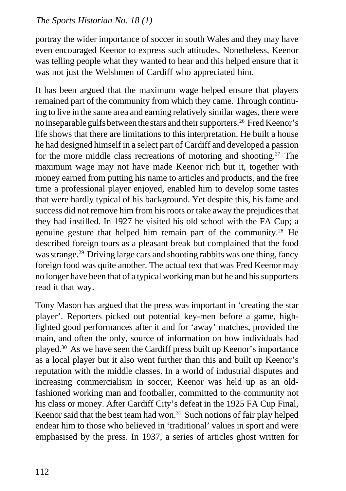portray the wider importance of soccer in south Wales and they may have even encouraged Keenor to express such attitudes. Nonetheless, Keenor was telling people what they wanted to hear and this helped ensure that it was not just the Welshmen of Cardiff who appreciated him.

It has been argued that the maximum wage helped ensure that players remained part of the community from which they came. Through continuing to live in the same area and earning relatively similar wages, there were no inseparable gulfs between the stars and their supporters.26 Fred Keenor's life shows that there are limitations to this interpretation. He built a house he had designed himself in a select part of Cardiff and developed a passion for the more middle class recreations of motoring and shooting.<sup>27</sup> The maximum wage may not have made Keenor rich but it, together with money earned from putting his name to articles and products, and the free time a professional player enjoyed, enabled him to develop some tastes that were hardly typical of his background. Yet despite this, his fame and success did not remove him from his roots or take away the prejudices that they had instilled. In 1927 he visited his old school with the FA Cup; a genuine gesture that helped him remain part of the community.28 He described foreign tours as a pleasant break but complained that the food was strange.<sup>29</sup> Driving large cars and shooting rabbits was one thing, fancy foreign food was quite another. The actual text that was Fred Keenor may no longer have been that of a typical working man but he and his supporters read it that way.

Tony Mason has argued that the press was important in 'creating the star player'. Reporters picked out potential key-men before a game, highlighted good performances after it and for 'away' matches, provided the main, and often the only, source of information on how individuals had played.30 As we have seen the Cardiff press built up Keenor's importance as a local player but it also went further than this and built up Keenor's reputation with the middle classes. In a world of industrial disputes and increasing commercialism in soccer, Keenor was held up as an oldfashioned working man and footballer, committed to the community not his class or money. After Cardiff City's defeat in the 1925 FA Cup Final, Keenor said that the best team had won.<sup>31</sup> Such notions of fair play helped endear him to those who believed in 'traditional' values in sport and were emphasised by the press. In 1937, a series of articles ghost written for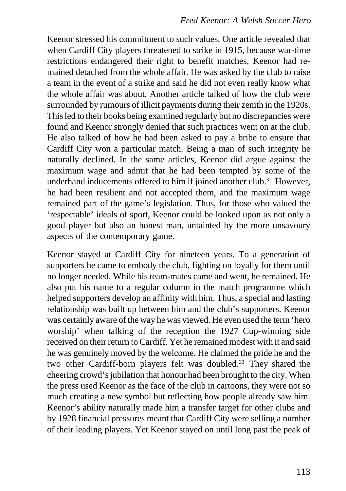Keenor stressed his commitment to such values. One article revealed that when Cardiff City players threatened to strike in 1915, because war-time restrictions endangered their right to benefit matches, Keenor had remained detached from the whole affair. He was asked by the club to raise a team in the event of a strike and said he did not even really know what the whole affair was about. Another article talked of how the club were surrounded by rumours of illicit payments during their zenith in the 1920s. This led to their books being examined regularly but no discrepancies were found and Keenor strongly denied that such practices went on at the club. He also talked of how he had been asked to pay a bribe to ensure that Cardiff City won a particular match. Being a man of such integrity he naturally declined. In the same articles, Keenor did argue against the maximum wage and admit that he had been tempted by some of the underhand inducements offered to him if joined another club.<sup>32</sup> However, he had been resilient and not accepted them, and the maximum wage remained part of the game's legislation. Thus, for those who valued the 'respectable' ideals of sport, Keenor could be looked upon as not only a good player but also an honest man, untainted by the more unsavoury aspects of the contemporary game.

Keenor stayed at Cardiff City for nineteen years. To a generation of supporters he came to embody the club, fighting on loyally for them until no longer needed. While his team-mates came and went, he remained. He also put his name to a regular column in the match programme which helped supporters develop an affinity with him. Thus, a special and lasting relationship was built up between him and the club's supporters. Keenor was certainly aware of the way he was viewed. He even used the term 'hero worship' when talking of the reception the 1927 Cup-winning side received on their return to Cardiff. Yet he remained modest with it and said he was genuinely moved by the welcome. He claimed the pride he and the two other Cardiff-born players felt was doubled.<sup>33</sup> They shared the cheering crowd's jubilation that honour had been brought to the city. When the press used Keenor as the face of the club in cartoons, they were not so much creating a new symbol but reflecting how people already saw him. Keenor's ability naturally made him a transfer target for other clubs and by 1928 financial pressures meant that Cardiff City were selling a number of their leading players. Yet Keenor stayed on until long past the peak of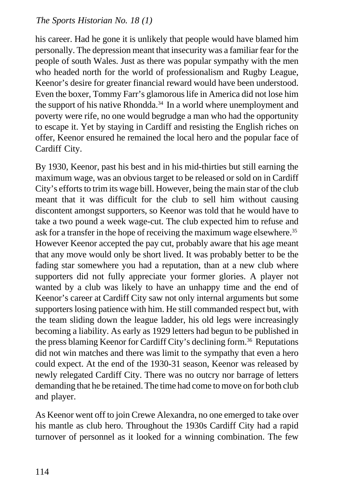his career. Had he gone it is unlikely that people would have blamed him personally. The depression meant that insecurity was a familiar fear for the people of south Wales. Just as there was popular sympathy with the men who headed north for the world of professionalism and Rugby League, Keenor's desire for greater financial reward would have been understood. Even the boxer, Tommy Farr's glamorous life in America did not lose him the support of his native Rhondda.34 In a world where unemployment and poverty were rife, no one would begrudge a man who had the opportunity to escape it. Yet by staying in Cardiff and resisting the English riches on offer, Keenor ensured he remained the local hero and the popular face of Cardiff City.

By 1930, Keenor, past his best and in his mid-thirties but still earning the maximum wage, was an obvious target to be released or sold on in Cardiff City's efforts to trim its wage bill. However, being the main star of the club meant that it was difficult for the club to sell him without causing discontent amongst supporters, so Keenor was told that he would have to take a two pound a week wage-cut. The club expected him to refuse and ask for a transfer in the hope of receiving the maximum wage elsewhere.<sup>35</sup> However Keenor accepted the pay cut, probably aware that his age meant that any move would only be short lived. It was probably better to be the fading star somewhere you had a reputation, than at a new club where supporters did not fully appreciate your former glories. A player not wanted by a club was likely to have an unhappy time and the end of Keenor's career at Cardiff City saw not only internal arguments but some supporters losing patience with him. He still commanded respect but, with the team sliding down the league ladder, his old legs were increasingly becoming a liability. As early as 1929 letters had begun to be published in the press blaming Keenor for Cardiff City's declining form.<sup>36</sup> Reputations did not win matches and there was limit to the sympathy that even a hero could expect. At the end of the 1930-31 season, Keenor was released by newly relegated Cardiff City. There was no outcry nor barrage of letters demanding that he be retained. The time had come to move on for both club and player.

As Keenor went off to join Crewe Alexandra, no one emerged to take over his mantle as club hero. Throughout the 1930s Cardiff City had a rapid turnover of personnel as it looked for a winning combination. The few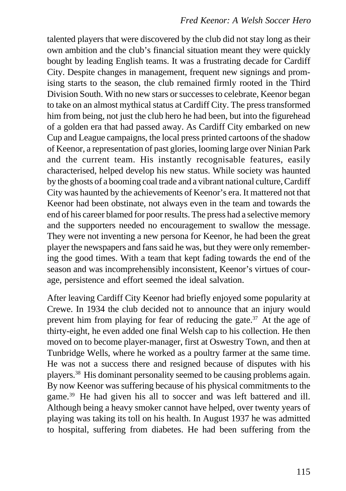talented players that were discovered by the club did not stay long as their own ambition and the club's financial situation meant they were quickly bought by leading English teams. It was a frustrating decade for Cardiff City. Despite changes in management, frequent new signings and promising starts to the season, the club remained firmly rooted in the Third Division South. With no new stars or successes to celebrate, Keenor began to take on an almost mythical status at Cardiff City. The press transformed him from being, not just the club hero he had been, but into the figurehead of a golden era that had passed away. As Cardiff City embarked on new Cup and League campaigns, the local press printed cartoons of the shadow of Keenor, a representation of past glories, looming large over Ninian Park and the current team. His instantly recognisable features, easily characterised, helped develop his new status. While society was haunted by the ghosts of a booming coal trade and a vibrant national culture, Cardiff City was haunted by the achievements of Keenor's era. It mattered not that Keenor had been obstinate, not always even in the team and towards the end of his career blamed for poor results. The press had a selective memory and the supporters needed no encouragement to swallow the message. They were not inventing a new persona for Keenor, he had been the great player the newspapers and fans said he was, but they were only remembering the good times. With a team that kept fading towards the end of the season and was incomprehensibly inconsistent, Keenor's virtues of courage, persistence and effort seemed the ideal salvation.

After leaving Cardiff City Keenor had briefly enjoyed some popularity at Crewe. In 1934 the club decided not to announce that an injury would prevent him from playing for fear of reducing the gate. $37$  At the age of thirty-eight, he even added one final Welsh cap to his collection. He then moved on to become player-manager, first at Oswestry Town, and then at Tunbridge Wells, where he worked as a poultry farmer at the same time. He was not a success there and resigned because of disputes with his players.38 His dominant personality seemed to be causing problems again. By now Keenor was suffering because of his physical commitments to the game.39 He had given his all to soccer and was left battered and ill. Although being a heavy smoker cannot have helped, over twenty years of playing was taking its toll on his health. In August 1937 he was admitted to hospital, suffering from diabetes. He had been suffering from the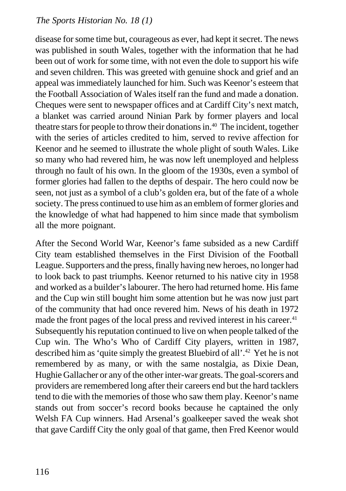disease for some time but, courageous as ever, had kept it secret. The news was published in south Wales, together with the information that he had been out of work for some time, with not even the dole to support his wife and seven children. This was greeted with genuine shock and grief and an appeal was immediately launched for him. Such was Keenor's esteem that the Football Association of Wales itself ran the fund and made a donation. Cheques were sent to newspaper offices and at Cardiff City's next match, a blanket was carried around Ninian Park by former players and local theatre stars for people to throw their donations in.40 The incident, together with the series of articles credited to him, served to revive affection for Keenor and he seemed to illustrate the whole plight of south Wales. Like so many who had revered him, he was now left unemployed and helpless through no fault of his own. In the gloom of the 1930s, even a symbol of former glories had fallen to the depths of despair. The hero could now be seen, not just as a symbol of a club's golden era, but of the fate of a whole society. The press continued to use him as an emblem of former glories and the knowledge of what had happened to him since made that symbolism all the more poignant.

After the Second World War, Keenor's fame subsided as a new Cardiff City team established themselves in the First Division of the Football League. Supporters and the press, finally having new heroes, no longer had to look back to past triumphs. Keenor returned to his native city in 1958 and worked as a builder's labourer. The hero had returned home. His fame and the Cup win still bought him some attention but he was now just part of the community that had once revered him. News of his death in 1972 made the front pages of the local press and revived interest in his career.<sup>41</sup> Subsequently his reputation continued to live on when people talked of the Cup win. The Who's Who of Cardiff City players, written in 1987, described him as 'quite simply the greatest Bluebird of all'.42 Yet he is not remembered by as many, or with the same nostalgia, as Dixie Dean, Hughie Gallacher or any of the other inter-war greats. The goal-scorers and providers are remembered long after their careers end but the hard tacklers tend to die with the memories of those who saw them play. Keenor's name stands out from soccer's record books because he captained the only Welsh FA Cup winners. Had Arsenal's goalkeeper saved the weak shot that gave Cardiff City the only goal of that game, then Fred Keenor would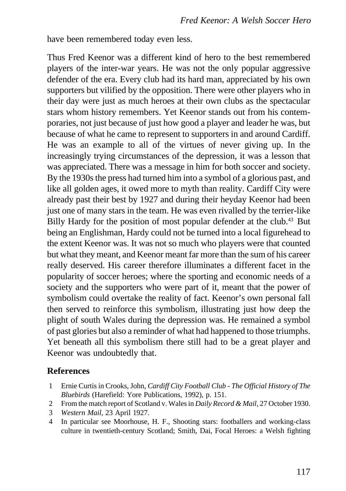have been remembered today even less.

Thus Fred Keenor was a different kind of hero to the best remembered players of the inter-war years. He was not the only popular aggressive defender of the era. Every club had its hard man, appreciated by his own supporters but vilified by the opposition. There were other players who in their day were just as much heroes at their own clubs as the spectacular stars whom history remembers. Yet Keenor stands out from his contemporaries, not just because of just how good a player and leader he was, but because of what he came to represent to supporters in and around Cardiff. He was an example to all of the virtues of never giving up. In the increasingly trying circumstances of the depression, it was a lesson that was appreciated. There was a message in him for both soccer and society. By the 1930s the press had turned him into a symbol of a glorious past, and like all golden ages, it owed more to myth than reality. Cardiff City were already past their best by 1927 and during their heyday Keenor had been just one of many stars in the team. He was even rivalled by the terrier-like Billy Hardy for the position of most popular defender at the club.<sup>43</sup> But being an Englishman, Hardy could not be turned into a local figurehead to the extent Keenor was. It was not so much who players were that counted but what they meant, and Keenor meant far more than the sum of his career really deserved. His career therefore illuminates a different facet in the popularity of soccer heroes; where the sporting and economic needs of a society and the supporters who were part of it, meant that the power of symbolism could overtake the reality of fact. Keenor's own personal fall then served to reinforce this symbolism, illustrating just how deep the plight of south Wales during the depression was. He remained a symbol of past glories but also a reminder of what had happened to those triumphs. Yet beneath all this symbolism there still had to be a great player and Keenor was undoubtedly that.

#### **References**

- 1 Ernie Curtis in Crooks, John, *Cardiff City Football Club The Official History of The Bluebirds* (Harefield: Yore Publications, 1992), p. 151.
- 2 From the match report of Scotland v. Wales in *Daily Record & Mail*, 27 October 1930.
- 3 *Western Mail*, 23 April 1927.
- 4 In particular see Moorhouse, H. F., Shooting stars: footballers and working-class culture in twentieth-century Scotland; Smith, Dai, Focal Heroes: a Welsh fighting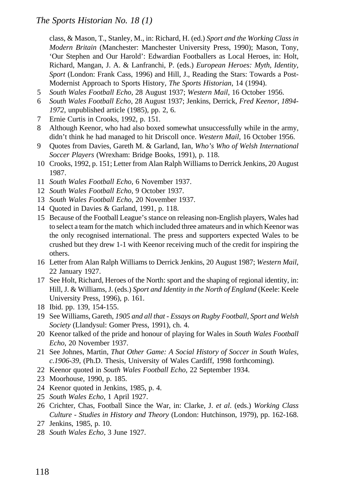class, & Mason, T., Stanley, M., in: Richard, H. (ed.) *Sport and the Working Class in Modern Britain* (Manchester: Manchester University Press, 1990); Mason, Tony, 'Our Stephen and Our Harold': Edwardian Footballers as Local Heroes, in: Holt, Richard, Mangan, J. A. & Lanfranchi, P. (eds.) *European Heroes: Myth, Identity, Sport* (London: Frank Cass, 1996) and Hill, J., Reading the Stars: Towards a Post-Modernist Approach to Sports History, *The Sports Historian*, 14 (1994).

- 5 *South Wales Football Echo*, 28 August 1937; *Western Mail*, 16 October 1956.
- 6 *South Wales Football Echo*, 28 August 1937; Jenkins, Derrick, *Fred Keenor, 1894- 1972*, unpublished article (1985), pp. 2, 6.
- 7 Ernie Curtis in Crooks, 1992, p. 151.
- 8 Although Keenor, who had also boxed somewhat unsuccessfully while in the army, didn't think he had managed to hit Driscoll once. *Western Mail*, 16 October 1956.
- 9 Quotes from Davies, Gareth M. & Garland, Ian, *Who's Who of Welsh International Soccer Players* (Wrexham: Bridge Books, 1991), p. 118.
- 10 Crooks, 1992, p. 151; Letter from Alan Ralph Williams to Derrick Jenkins, 20 August 1987.
- 11 *South Wales Football Echo*, 6 November 1937.
- 12 *South Wales Football Echo*, 9 October 1937.
- 13 *South Wales Football Echo*, 20 November 1937.
- 14 Quoted in Davies & Garland, 1991, p. 118.
- 15 Because of the Football League's stance on releasing non-English players, Wales had to select a team for the match which included three amateurs and in which Keenor was the only recognised international. The press and supporters expected Wales to be crushed but they drew 1-1 with Keenor receiving much of the credit for inspiring the others.
- 16 Letter from Alan Ralph Williams to Derrick Jenkins, 20 August 1987; *Western Mail*, 22 January 1927.
- 17 See Holt, Richard, Heroes of the North: sport and the shaping of regional identity, in: Hill, J. & Williams, J. (eds.) *Sport and Identity in the North of England* (Keele: Keele University Press, 1996), p. 161.
- 18 Ibid. pp. 139, 154-155.
- 19 See Williams, Gareth, *1905 and all that Essays on Rugby Football, Sport and Welsh Society* (Llandysul: Gomer Press, 1991), ch. 4.
- 20 Keenor talked of the pride and honour of playing for Wales in *South Wales Football Echo*, 20 November 1937.
- 21 See Johnes, Martin, *That Other Game: A Social History of Soccer in South Wales, c.1906-39*, (Ph.D. Thesis, University of Wales Cardiff, 1998 forthcoming).
- 22 Keenor quoted in *South Wales Football Echo,* 22 September 1934.
- 23 Moorhouse, 1990, p. 185.
- 24 Keenor quoted in Jenkins, 1985, p. 4.
- 25 *South Wales Echo*, 1 April 1927.
- 26 Crichter, Chas, Football Since the War, in: Clarke, J. *et al*. (eds.) *Working Class Culture - Studies in History and Theory* (London: Hutchinson, 1979), pp. 162-168.
- 27 Jenkins, 1985, p. 10.
- 28 *South Wales Echo*, 3 June 1927.